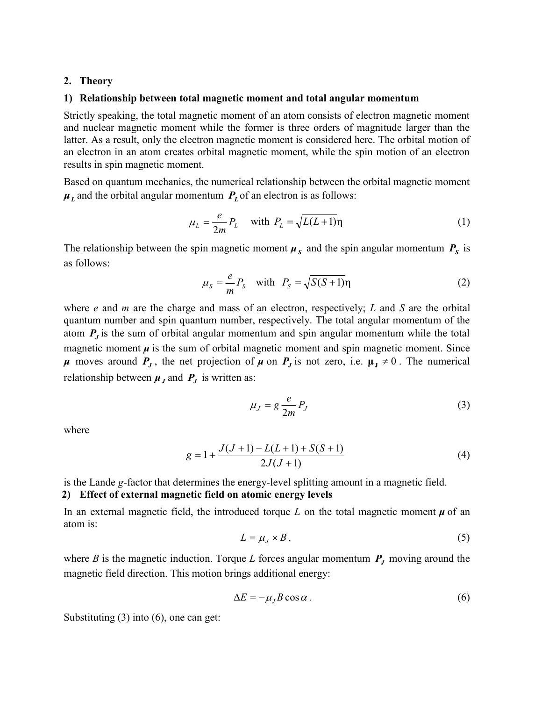### 2. Theory

#### 1) Relationship between total magnetic moment and total angular momentum

Strictly speaking, the total magnetic moment of an atom consists of electron magnetic moment and nuclear magnetic moment while the former is three orders of magnitude larger than the latter. As a result, only the electron magnetic moment is considered here. The orbital motion of an electron in an atom creates orbital magnetic moment, while the spin motion of an electron results in spin magnetic moment.

Based on quantum mechanics, the numerical relationship between the orbital magnetic moment  $\mu_L$  and the orbital angular momentum  $P_L$  of an electron is as follows:

$$
\mu_L = \frac{e}{2m} P_L \quad \text{with } P_L = \sqrt{L(L+1)} \eta \tag{1}
$$

The relationship between the spin magnetic moment  $\mu<sub>S</sub>$  and the spin angular momentum  $P<sub>S</sub>$  is as follows:

$$
\mu_S = \frac{e}{m} P_S \quad \text{with} \quad P_S = \sqrt{S(S+1)} \eta \tag{2}
$$

where  $e$  and  $m$  are the charge and mass of an electron, respectively;  $L$  and  $S$  are the orbital quantum number and spin quantum number, respectively. The total angular momentum of the atom  $P<sub>J</sub>$  is the sum of orbital angular momentum and spin angular momentum while the total magnetic moment  $\mu$  is the sum of orbital magnetic moment and spin magnetic moment. Since  $\mu$  moves around  $P_j$ , the net projection of  $\mu$  on  $P_j$  is not zero, i.e.  $\mu_j \neq 0$ . The numerical relationship between  $\mu_J$  and  $P_J$  is written as:

$$
\mu_J = g \frac{e}{2m} P_J \tag{3}
$$

where

$$
g = 1 + \frac{J(J+1) - L(L+1) + S(S+1)}{2J(J+1)}
$$
(4)

is the Lande g-factor that determines the energy-level splitting amount in a magnetic field. 2) Effect of external magnetic field on atomic energy levels

In an external magnetic field, the introduced torque L on the total magnetic moment  $\mu$  of an atom is:

$$
L = \mu_J \times B, \tag{5}
$$

where B is the magnetic induction. Torque L forces angular momentum  $P_J$  moving around the magnetic field direction. This motion brings additional energy:

$$
\Delta E = -\mu_J B \cos \alpha \,. \tag{6}
$$

Substituting (3) into (6), one can get: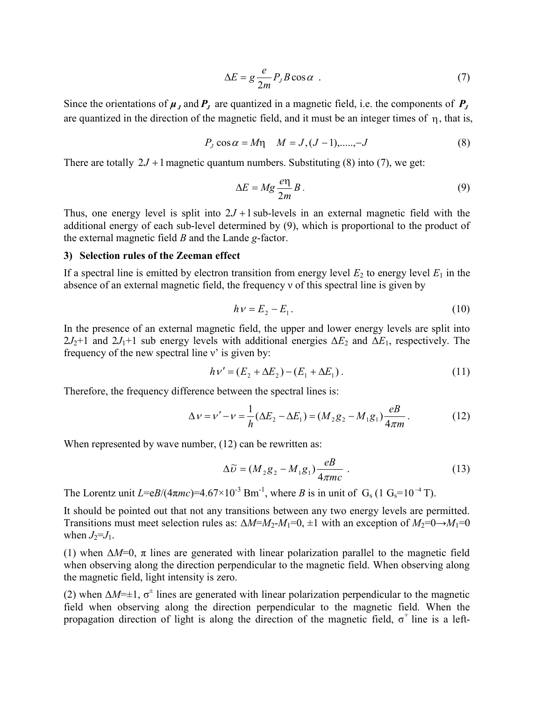$$
\Delta E = g \frac{e}{2m} P_J B \cos \alpha \tag{7}
$$

Since the orientations of  $\mu_J$  and  $P_J$  are quantized in a magnetic field, i.e. the components of  $P_J$ are quantized in the direction of the magnetic field, and it must be an integer times of  $\eta$ , that is,

$$
P_J \cos \alpha = M\eta \quad M = J, (J-1), \dots, -J \tag{8}
$$

There are totally  $2J + 1$  magnetic quantum numbers. Substituting (8) into (7), we get:

$$
\Delta E = Mg \frac{e\eta}{2m} B. \tag{9}
$$

Thus, one energy level is split into  $2J + 1$  sub-levels in an external magnetic field with the additional energy of each sub-level determined by (9), which is proportional to the product of the external magnetic field  $B$  and the Lande g-factor.

### 3) Selection rules of the Zeeman effect

If a spectral line is emitted by electron transition from energy level  $E_2$  to energy level  $E_1$  in the absence of an external magnetic field, the frequency ν of this spectral line is given by

$$
h v = E_2 - E_1.
$$
 (10)

In the presence of an external magnetic field, the upper and lower energy levels are split into  $2J_2+1$  and  $2J_1+1$  sub energy levels with additional energies  $\Delta E_2$  and  $\Delta E_1$ , respectively. The frequency of the new spectral line ν' is given by:

$$
h\nu' = (E_2 + \Delta E_2) - (E_1 + \Delta E_1).
$$
 (11)

Therefore, the frequency difference between the spectral lines is:

$$
\Delta v = v' - v = \frac{1}{h} (\Delta E_2 - \Delta E_1) = (M_2 g_2 - M_1 g_1) \frac{eB}{4\pi m}.
$$
 (12)

When represented by wave number,  $(12)$  can be rewritten as:

$$
\Delta \widetilde{\nu} = (M_2 g_2 - M_1 g_1) \frac{eB}{4\pi mc} \tag{13}
$$

The Lorentz unit  $L=$   $\varepsilon B/(4\pi mc)$  =  $4.67 \times 10^{-3}$  Bm<sup>-1</sup>, where B is in unit of G<sub>s</sub> (1 G<sub>s</sub> = 10<sup>-4</sup> T).

It should be pointed out that not any transitions between any two energy levels are permitted. Transitions must meet selection rules as:  $\Delta M = M_2 - M_1 = 0$ ,  $\pm 1$  with an exception of  $M_2 = 0 \rightarrow M_1 = 0$ when  $J_2=J_1$ .

(1) when  $\Delta M=0$ ,  $\pi$  lines are generated with linear polarization parallel to the magnetic field when observing along the direction perpendicular to the magnetic field. When observing along the magnetic field, light intensity is zero.

(2) when  $\Delta M=\pm 1$ ,  $\sigma^{\pm}$  lines are generated with linear polarization perpendicular to the magnetic field when observing along the direction perpendicular to the magnetic field. When the propagation direction of light is along the direction of the magnetic field,  $\sigma^+$  line is a left-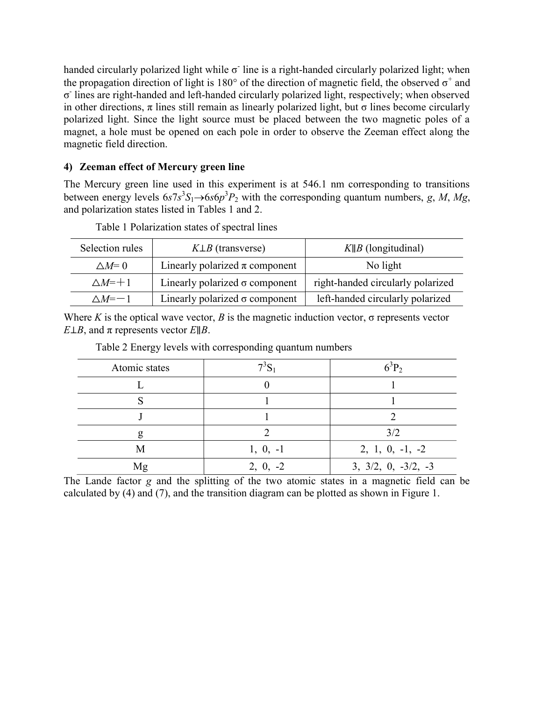handed circularly polarized light while  $\sigma$  line is a right-handed circularly polarized light; when the propagation direction of light is 180 $^{\circ}$  of the direction of magnetic field, the observed  $\sigma^+$  and σ - lines are right-handed and left-handed circularly polarized light, respectively; when observed in other directions,  $\pi$  lines still remain as linearly polarized light, but  $\sigma$  lines become circularly polarized light. Since the light source must be placed between the two magnetic poles of a magnet, a hole must be opened on each pole in order to observe the Zeeman effect along the magnetic field direction.

# 4) Zeeman effect of Mercury green line

The Mercury green line used in this experiment is at 546.1 nm corresponding to transitions between energy levels  $6s7s^3S_1 \rightarrow 6s6p^3P_2$  with the corresponding quantum numbers, g, M, Mg, and polarization states listed in Tables 1 and 2.

| Selection rules | $K\perp B$ (transverse)               | $K  B$ (longitudinal)             |
|-----------------|---------------------------------------|-----------------------------------|
| $\triangle M=0$ | Linearly polarized $\pi$ component    | No light                          |
| $\wedge M = +1$ | Linearly polarized $\sigma$ component | right-handed circularly polarized |
| $\wedge M = -1$ | Linearly polarized $\sigma$ component | left-handed circularly polarized  |

Table 1 Polarization states of spectral lines

Where K is the optical wave vector, B is the magnetic induction vector,  $\sigma$  represents vector E⊥B, and  $\pi$  represents vector E||B.

| Atomic states |            | $5^{\circ}P_2$        |
|---------------|------------|-----------------------|
|               |            |                       |
|               |            |                       |
|               |            |                       |
|               |            | 3/2                   |
| М             | $1, 0, -1$ | $2, 1, 0, -1, -2$     |
| Mg            | $2, 0, -2$ | $3, 3/2, 0, -3/2, -3$ |

Table 2 Energy levels with corresponding quantum numbers

The Lande factor g and the splitting of the two atomic states in a magnetic field can be calculated by (4) and (7), and the transition diagram can be plotted as shown in Figure 1.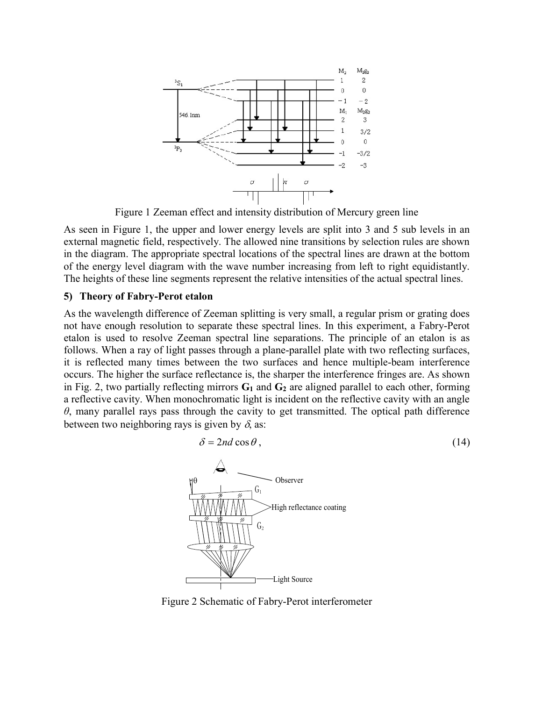

Figure 1 Zeeman effect and intensity distribution of Mercury green line

As seen in Figure 1, the upper and lower energy levels are split into 3 and 5 sub levels in an external magnetic field, respectively. The allowed nine transitions by selection rules are shown in the diagram. The appropriate spectral locations of the spectral lines are drawn at the bottom of the energy level diagram with the wave number increasing from left to right equidistantly. The heights of these line segments represent the relative intensities of the actual spectral lines.

## 5) Theory of Fabry-Perot etalon

As the wavelength difference of Zeeman splitting is very small, a regular prism or grating does not have enough resolution to separate these spectral lines. In this experiment, a Fabry-Perot etalon is used to resolve Zeeman spectral line separations. The principle of an etalon is as follows. When a ray of light passes through a plane-parallel plate with two reflecting surfaces, it is reflected many times between the two surfaces and hence multiple-beam interference occurs. The higher the surface reflectance is, the sharper the interference fringes are. As shown in Fig. 2, two partially reflecting mirrors  $G_1$  and  $G_2$  are aligned parallel to each other, forming a reflective cavity. When monochromatic light is incident on the reflective cavity with an angle  $\theta$ , many parallel rays pass through the cavity to get transmitted. The optical path difference between two neighboring rays is given by  $\delta$ , as:



Figure 2 Schematic of Fabry-Perot interferometer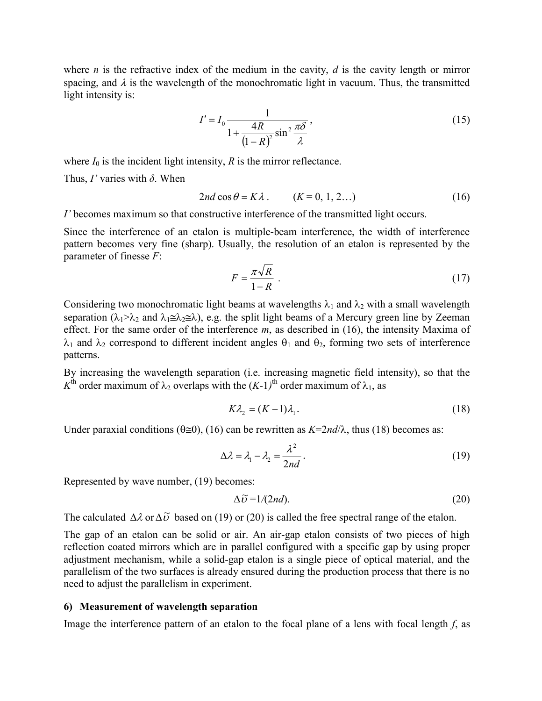where *n* is the refractive index of the medium in the cavity, *d* is the cavity length or mirror spacing, and  $\lambda$  is the wavelength of the monochromatic light in vacuum. Thus, the transmitted light intensity is:

c of the medium in the cavity, *d* is the cavity length or mirror  
th of the monochromatic light in vacuum. Thus, the transmitted  

$$
I' = I_0 \frac{1}{1 + \frac{4R}{(1 - R)^2 \sin^2 \frac{\pi \delta}{\lambda}}},
$$
(15)  
ensity, *R* is the mirror reflectance.

where  $I_0$  is the incident light intensity, R is the mirror reflectance.

Thus,  $I'$  varies with  $\delta$ . When

$$
2nd\cos\theta = K\lambda. \qquad (K = 0, 1, 2...)
$$
 (16)

I' becomes maximum so that constructive interference of the transmitted light occurs.

Since the interference of an etalon is multiple-beam interference, the width of interference pattern becomes very fine (sharp). Usually, the resolution of an etalon is represented by the parameter of finesse F:

$$
F = \frac{\pi \sqrt{R}}{1 - R} \tag{17}
$$

Considering two monochromatic light beams at wavelengths  $\lambda_1$  and  $\lambda_2$  with a small wavelength separation ( $\lambda_1 > \lambda_2$  and  $\lambda_1 \leq \lambda_2 \leq \lambda$ ), e.g. the split light beams of a Mercury green line by Zeeman effect. For the same order of the interference  $m$ , as described in (16), the intensity Maxima of  $\lambda_1$  and  $\lambda_2$  correspond to different incident angles  $\theta_1$  and  $\theta_2$ , forming two sets of interference patterns.

By increasing the wavelength separation (i.e. increasing magnetic field intensity), so that the  $K<sup>th</sup>$  order maximum of  $\lambda_2$  overlaps with the  $(K-1)<sup>th</sup>$  order maximum of  $\lambda_1$ , as

$$
K\lambda_2 = (K-1)\lambda_1. \tag{18}
$$

Under paraxial conditions ( $\theta \equiv 0$ ), (16) can be rewritten as  $K = 2nd/\lambda$ , thus (18) becomes as:

$$
\Delta \lambda = \lambda_1 - \lambda_2 = \frac{\lambda^2}{2nd}.
$$
 (19)

Represented by wave number, (19) becomes:

$$
\Delta \widetilde{\nu} = 1/(2nd). \tag{20}
$$

The calculated  $\Delta \lambda$  or  $\Delta \tilde{\nu}$  based on (19) or (20) is called the free spectral range of the etalon.

The gap of an etalon can be solid or air. An air-gap etalon consists of two pieces of high reflection coated mirrors which are in parallel configured with a specific gap by using proper adjustment mechanism, while a solid-gap etalon is a single piece of optical material, and the parallelism of the two surfaces is already ensured during the production process that there is no need to adjust the parallelism in experiment.

## 6) Measurement of wavelength separation

Image the interference pattern of an etalon to the focal plane of a lens with focal length  $f$ , as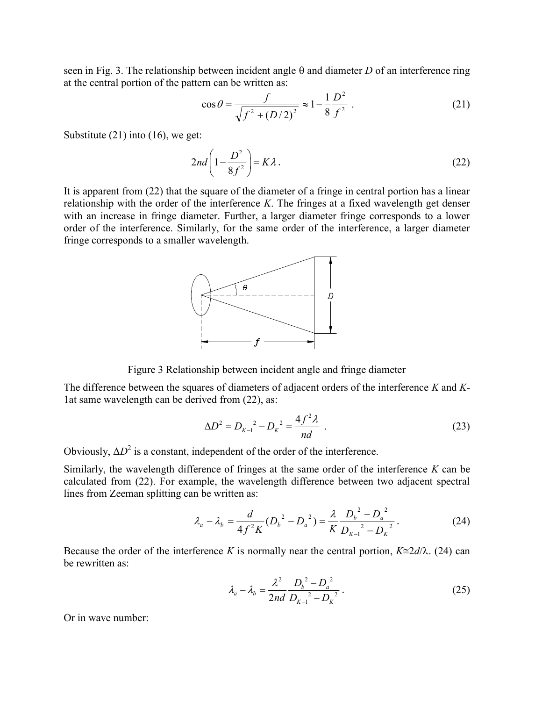seen in Fig. 3. The relationship between incident angle  $\theta$  and diameter D of an interference ring at the central portion of the pattern can be written as:

$$
\cos \theta = \frac{f}{\sqrt{f^2 + (D/2)^2}} \approx 1 - \frac{1}{8} \frac{D^2}{f^2} \ . \tag{21}
$$

Substitute (21) into (16), we get:

$$
2nd\left(1-\frac{D^2}{8f^2}\right) = K\lambda\,. \tag{22}
$$

It is apparent from (22) that the square of the diameter of a fringe in central portion has a linear relationship with the order of the interference  $K$ . The fringes at a fixed wavelength get denser with an increase in fringe diameter. Further, a larger diameter fringe corresponds to a lower order of the interference. Similarly, for the same order of the interference, a larger diameter fringe corresponds to a smaller wavelength.



Figure 3 Relationship between incident angle and fringe diameter

The difference between the squares of diameters of adjacent orders of the interference K and K-1at same wavelength can be derived from (22), as:

$$
\Delta D^2 = D_{K-1}^2 - D_K^2 = \frac{4f^2 \lambda}{nd} \tag{23}
$$

Obviously,  $\Delta D^2$  is a constant, independent of the order of the interference.

Similarly, the wavelength difference of fringes at the same order of the interference  $K$  can be calculated from (22). For example, the wavelength difference between two adjacent spectral lines from Zeeman splitting can be written as:

$$
\lambda_a - \lambda_b = \frac{d}{4f^2K} (D_b^2 - D_a^2) = \frac{\lambda}{K} \frac{D_b^2 - D_a^2}{D_{K-1}^2 - D_K^2}.
$$
 (24)

Because the order of the interference K is normally near the central portion,  $K \cong 2d/\lambda$ . (24) can be rewritten as:

$$
\lambda_a - \lambda_b = \frac{\lambda^2}{2nd} \frac{D_b^2 - D_a^2}{D_{K-1}^2 - D_K^2}.
$$
\n(25)

Or in wave number: